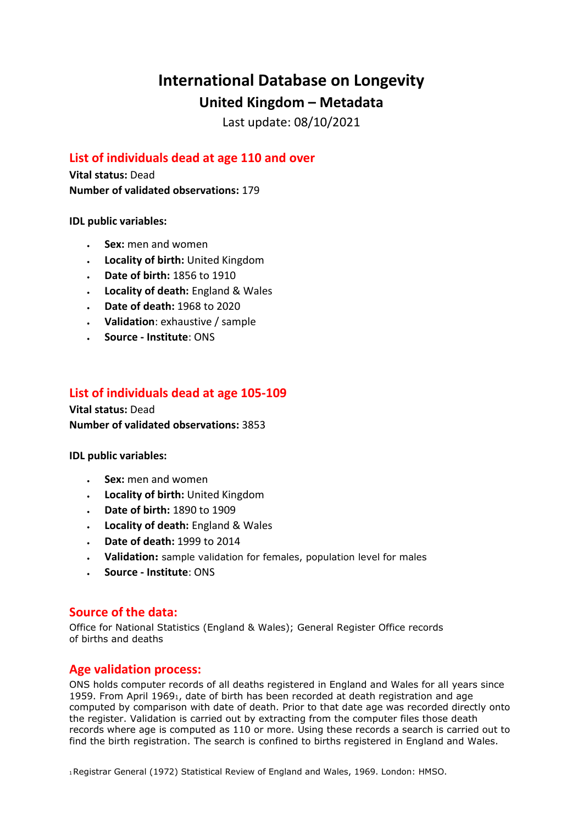# **International Database on Longevity**

**United Kingdom – Metadata**

Last update: 08/10/2021

## **List of individuals dead at age 110 and over**

**Vital status:** Dead **Number of validated observations:** 179

**IDL public variables:** 

- **Sex:** men and women
- **Locality of birth:** United Kingdom
- **Date of birth:** 1856 to 1910
- **Locality of death:** England & Wales
- **Date of death:** 1968 to 2020
- **Validation**: exhaustive / sample
- **Source - Institute**: ONS

## **List of individuals dead at age 105-109**

**Vital status:** Dead **Number of validated observations:** 3853

**IDL public variables:** 

- **Sex:** men and women
- **Locality of birth:** United Kingdom
- **Date of birth:** 1890 to 1909
- **Locality of death:** England & Wales
- **Date of death:** 1999 to 2014
- **Validation:** sample validation for females, population level for males
- **Source - Institute**: ONS

### **Source of the data:**

Office for National Statistics (England & Wales); General Register Office records of births and deaths

### **Age validation process:**

ONS holds computer records of all deaths registered in England and Wales for all years since 1959. From April 19691, date of birth has been recorded at death registration and age computed by comparison with date of death. Prior to that date age was recorded directly onto the register. Validation is carried out by extracting from the computer files those death records where age is computed as 110 or more. Using these records a search is carried out to find the birth registration. The search is confined to births registered in England and Wales.

1Registrar General (1972) Statistical Review of England and Wales, 1969. London: HMSO.